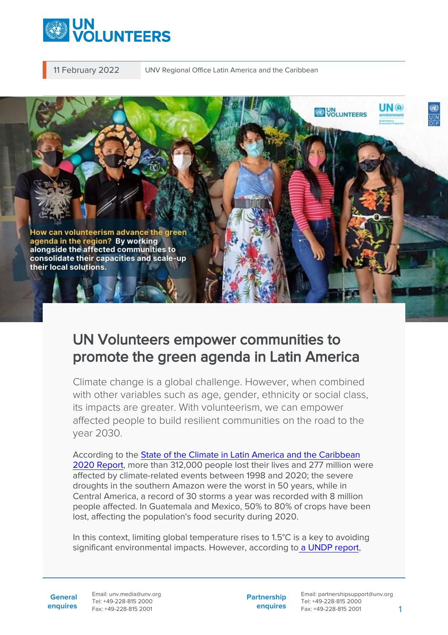

11 February 2022 UNV Regional Office Latin America and the Caribbean



## UN Volunteers empower communities to promote the green agenda in Latin America

Climate change is a global challenge. However, when combined with other variables such as age, gender, ethnicity or social class, its impacts are greater. With volunteerism, we can empower affected people to build resilient communities on the road to the year 2030.

According to the [State of the Climate in Latin America and the Caribbean](https://reliefweb.int/sites/reliefweb.int/files/resources/Statement_LAC_es_big.pdf) [2020 Report,](https://reliefweb.int/sites/reliefweb.int/files/resources/Statement_LAC_es_big.pdf) more than 312,000 people lost their lives and 277 million were affected by climate-related events between 1998 and 2020; the severe droughts in the southern Amazon were the worst in 50 years, while in Central America, a record of 30 storms a year was recorded with 8 million people affected. In Guatemala and Mexico, 50% to 80% of crops have been lost, affecting the population's food security during 2020.

In this context, limiting global temperature rises to 1.5°C is a key to avoiding significant environmental impacts. However, according to [a UNDP report](https://www.undp.org/es/content/undp/es/home/news-centre/pressreleases/2021/los-paises-mas-vulnerables-y-mas-afectados-son-los-que-mas-hacen),

**General enquires** Email: unv.media@unv.org Tel: +49-228-815 2000 Fax: +49-228-815 2001

**Partnership enquires**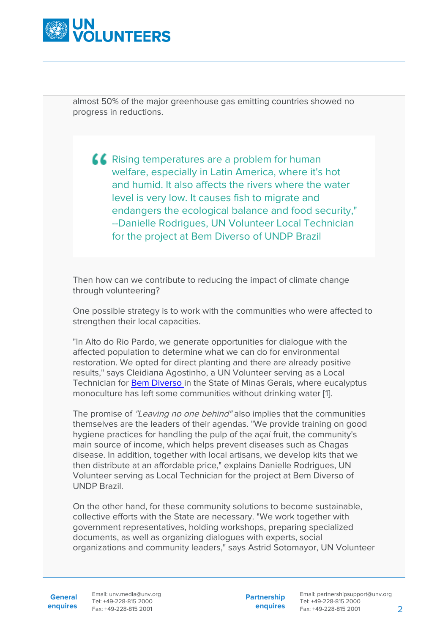

almost 50% of the major greenhouse gas emitting countries showed no progress in reductions.

**K** Rising temperatures are a problem for human welfare, especially in Latin America, where it's hot and humid. It also affects the rivers where the water level is very low. It causes fish to migrate and endangers the ecological balance and food security," --Danielle Rodrigues, UN Volunteer Local Technician for the project at Bem Diverso of UNDP Brazil

Then how can we contribute to reducing the impact of climate change through volunteering?

One possible strategy is to work with the communities who were affected to strengthen their local capacities.

"In Alto do Rio Pardo, we generate opportunities for dialogue with the affected population to determine what we can do for environmental restoration. We opted for direct planting and there are already positive results," says Cleidiana Agostinho, a UN Volunteer serving as a Local Technician for [Bem Diverso](https://www.br.undp.org/content/brazil/pt/home/projects/Bem-diverso.html) in the State of Minas Gerais, where eucalyptus monoculture has left some communities without drinking water [1].

The promise of "Leaving no one behind" also implies that the communities themselves are the leaders of their agendas. "We provide training on good hygiene practices for handling the pulp of the açaí fruit, the community's main source of income, which helps prevent diseases such as Chagas disease. In addition, together with local artisans, we develop kits that we then distribute at an affordable price," explains Danielle Rodrigues, UN Volunteer serving as Local Technician for the project at Bem Diverso of UNDP Brazil.

On the other hand, for these community solutions to become sustainable, collective efforts with the State are necessary. "We work together with government representatives, holding workshops, preparing specialized documents, as well as organizing dialogues with experts, social organizations and community leaders," says Astrid Sotomayor, UN Volunteer

General Email: unv.media@unv.org **enquires** Fax: +49-228-815 2001 Tel: +49-228-815 2000

**Partnership enquires**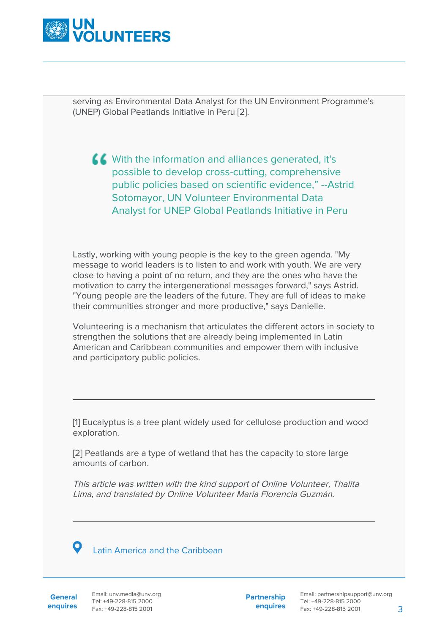

serving as Environmental Data Analyst for the UN Environment Programme's (UNEP) Global Peatlands Initiative in Peru [2].

K With the information and alliances generated, it's possible to develop cross-cutting, comprehensive public policies based on scientific evidence," --Astrid Sotomayor, UN Volunteer Environmental Data Analyst for UNEP Global Peatlands Initiative in Peru

Lastly, working with young people is the key to the green agenda. "My message to world leaders is to listen to and work with youth. We are very close to having a point of no return, and they are the ones who have the motivation to carry the intergenerational messages forward," says Astrid. "Young people are the leaders of the future. They are full of ideas to make their communities stronger and more productive," says Danielle.

Volunteering is a mechanism that articulates the different actors in society to strengthen the solutions that are already being implemented in Latin American and Caribbean communities and empower them with inclusive and participatory public policies.

[1] Eucalyptus is a tree plant widely used for cellulose production and wood exploration.

[2] Peatlands are a type of wetland that has the capacity to store large amounts of carbon.

This article was written with the kind support of Online Volunteer, Thalita Lima, and translated by Online Volunteer María Florencia Guzmán.



Latin America and the Caribbean

**General enquires** Email: unv.media@unv.org Tel: +49-228-815 2000 Fax: +49-228-815 2001

**Partnership enquires**